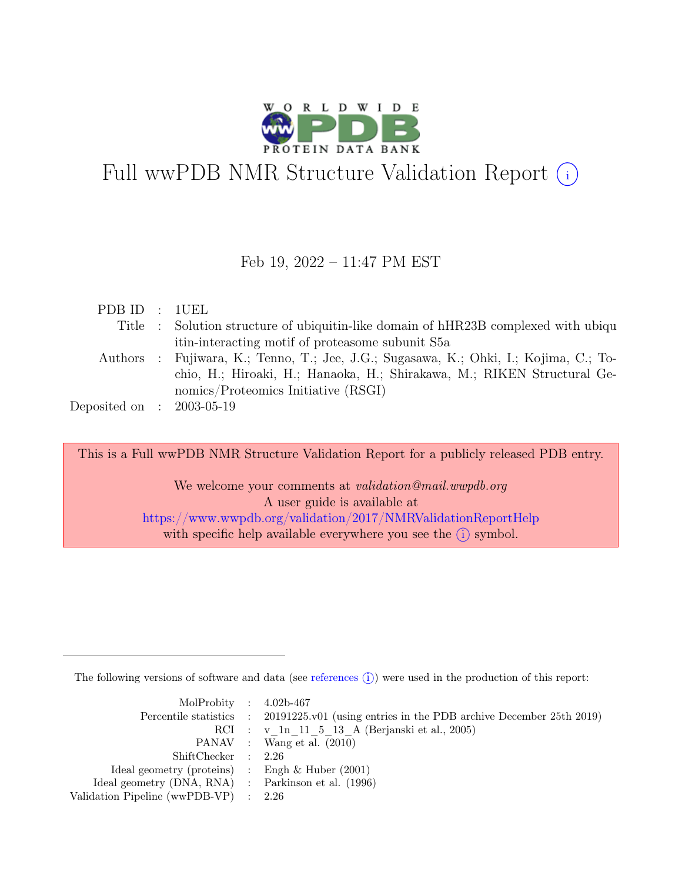

# Full wwPDB NMR Structure Validation Report (i)

### Feb 19, 2022 – 11:47 PM EST

| PDB ID : 1UEL               |                                                                                       |
|-----------------------------|---------------------------------------------------------------------------------------|
|                             | Title : Solution structure of ubiquitin-like domain of hHR23B complexed with ubiqu    |
|                             | itin-interacting motif of proteasome subunit S5a                                      |
|                             | Authors : Fujiwara, K.; Tenno, T.; Jee, J.G.; Sugasawa, K.; Ohki, I.; Kojima, C.; To- |
|                             | chio, H.; Hiroaki, H.; Hanaoka, H.; Shirakawa, M.; RIKEN Structural Ge-               |
|                             | nomics/Proteomics Initiative (RSGI)                                                   |
| Deposited on : $2003-05-19$ |                                                                                       |

This is a Full wwPDB NMR Structure Validation Report for a publicly released PDB entry.

We welcome your comments at *validation@mail.wwpdb.org* A user guide is available at <https://www.wwpdb.org/validation/2017/NMRValidationReportHelp> with specific help available everywhere you see the  $(i)$  symbol.

The following versions of software and data (see [references](https://www.wwpdb.org/validation/2017/NMRValidationReportHelp#references)  $\hat{I}$ ) were used in the production of this report:

| MolProbity : $4.02b-467$                            |                                                                                            |
|-----------------------------------------------------|--------------------------------------------------------------------------------------------|
|                                                     | Percentile statistics : 20191225.v01 (using entries in the PDB archive December 25th 2019) |
|                                                     | RCI : v 1n 11 5 13 A (Berjanski et al., 2005)                                              |
|                                                     | PANAV : Wang et al. (2010)                                                                 |
| ShiftChecker : 2.26                                 |                                                                                            |
| Ideal geometry (proteins) : Engh $\&$ Huber (2001)  |                                                                                            |
| Ideal geometry (DNA, RNA) : Parkinson et al. (1996) |                                                                                            |
| Validation Pipeline (wwPDB-VP) : $2.26$             |                                                                                            |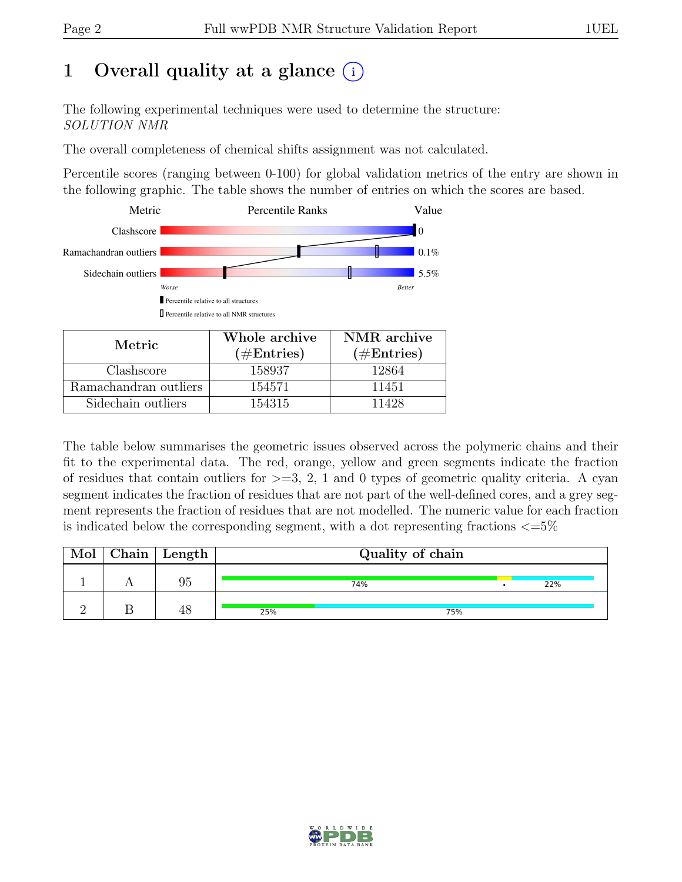# 1 Overall quality at a glance  $(i)$

The following experimental techniques were used to determine the structure: SOLUTION NMR

The overall completeness of chemical shifts assignment was not calculated.

Percentile scores (ranging between 0-100) for global validation metrics of the entry are shown in the following graphic. The table shows the number of entries on which the scores are based.



| Metric.               | Whole archive         | NMR archive   |
|-----------------------|-----------------------|---------------|
|                       | $(\# \text{Entries})$ | $(\#Entries)$ |
| Clashscore            | 158937                | 12864         |
| Ramachandran outliers | 154571                | 11451         |
| Sidechain outliers    | 154315                | 11428         |

The table below summarises the geometric issues observed across the polymeric chains and their fit to the experimental data. The red, orange, yellow and green segments indicate the fraction of residues that contain outliers for  $>=$  3, 2, 1 and 0 types of geometric quality criteria. A cyan segment indicates the fraction of residues that are not part of the well-defined cores, and a grey segment represents the fraction of residues that are not modelled. The numeric value for each fraction is indicated below the corresponding segment, with a dot representing fractions  $\langle=5\%$ 

| Mol | Chain   Length |     | Quality of chain |     |  |     |  |  |  |  |  |  |  |  |  |
|-----|----------------|-----|------------------|-----|--|-----|--|--|--|--|--|--|--|--|--|
|     | 95             |     | 74%              |     |  | 22% |  |  |  |  |  |  |  |  |  |
|     | 48             | 25% |                  | 75% |  |     |  |  |  |  |  |  |  |  |  |

![](_page_1_Picture_11.jpeg)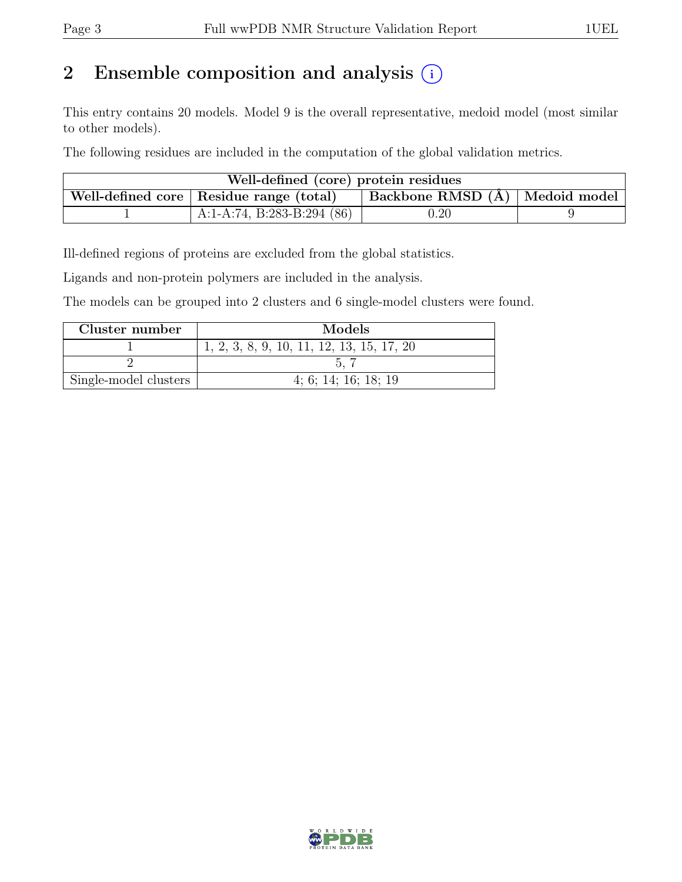# 2 Ensemble composition and analysis  $(i)$

This entry contains 20 models. Model 9 is the overall representative, medoid model (most similar to other models).

The following residues are included in the computation of the global validation metrics.

| Well-defined (core) protein residues |                                           |                                          |  |  |  |  |  |  |  |  |  |  |
|--------------------------------------|-------------------------------------------|------------------------------------------|--|--|--|--|--|--|--|--|--|--|
|                                      | Well-defined core   Residue range (total) | $\vert$ Backbone RMSD $(A)$ Medoid model |  |  |  |  |  |  |  |  |  |  |
|                                      | A:1-A:74, B:283-B:294 (86)                | 0.20                                     |  |  |  |  |  |  |  |  |  |  |

Ill-defined regions of proteins are excluded from the global statistics.

Ligands and non-protein polymers are included in the analysis.

The models can be grouped into 2 clusters and 6 single-model clusters were found.

| Cluster number        | Models                                      |
|-----------------------|---------------------------------------------|
|                       | $1, 2, 3, 8, 9, 10, 11, 12, 13, 15, 17, 20$ |
|                       |                                             |
| Single-model clusters | 4; 6; 14; 16; 18; 19                        |

![](_page_2_Picture_11.jpeg)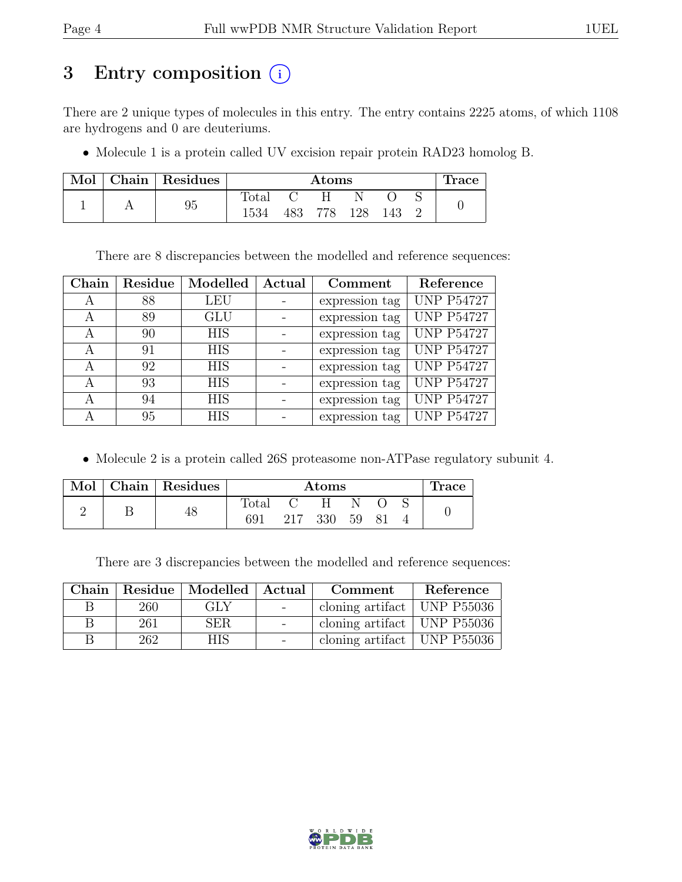# 3 Entry composition (i)

There are 2 unique types of molecules in this entry. The entry contains 2225 atoms, of which 1108 are hydrogens and 0 are deuteriums.

• Molecule 1 is a protein called UV excision repair protein RAD23 homolog B.

| Mol | Chain   Residues |                | $\rm{Atoms}$ |     |      |     |  |  |  |  |  |  |  |  |
|-----|------------------|----------------|--------------|-----|------|-----|--|--|--|--|--|--|--|--|
|     |                  | $_{\rm Total}$ |              |     |      |     |  |  |  |  |  |  |  |  |
|     | 95               | 1534           | 483          | 778 | 128. | 143 |  |  |  |  |  |  |  |  |

There are 8 discrepancies between the modelled and reference sequences:

| Chain | Residue | Modelled   | Actual | Comment        | Reference         |
|-------|---------|------------|--------|----------------|-------------------|
| А     | 88      | <b>LEU</b> |        | expression tag | <b>UNP P54727</b> |
| А     | 89      | <b>GLU</b> |        | expression tag | <b>UNP P54727</b> |
| A     | 90      | <b>HIS</b> |        | expression tag | <b>UNP P54727</b> |
| А     | 91      | <b>HIS</b> |        | expression tag | <b>UNP P54727</b> |
| A     | 92      | <b>HIS</b> |        | expression tag | <b>UNP P54727</b> |
| А     | 93      | <b>HIS</b> |        | expression tag | <b>UNP P54727</b> |
| A     | 94      | <b>HIS</b> |        | expression tag | <b>UNP P54727</b> |
| А     | 95      | <b>HIS</b> |        | expression tag | <b>UNP P54727</b> |

• Molecule 2 is a protein called 26S proteasome non-ATPase regulatory subunit 4.

| Mol | Chain Residues |       |     | Atoms |    |     | race |
|-----|----------------|-------|-----|-------|----|-----|------|
|     |                | Total |     | H     |    |     |      |
|     | 48             | 691   | 217 | 330   | 59 | -81 |      |

There are 3 discrepancies between the modelled and reference sequences:

| Chain |     | Residue   Modelled   Actual | Comment                             | Reference |
|-------|-----|-----------------------------|-------------------------------------|-----------|
| R     | 260 | GLY                         | cloning artifact   UNP $P55036$     |           |
| R     | 261 | SER.                        | cloning artifact   UNP $P55036$     |           |
|       | 262 | HIS.                        | cloning artifact $\vert$ UNP P55036 |           |

![](_page_3_Picture_13.jpeg)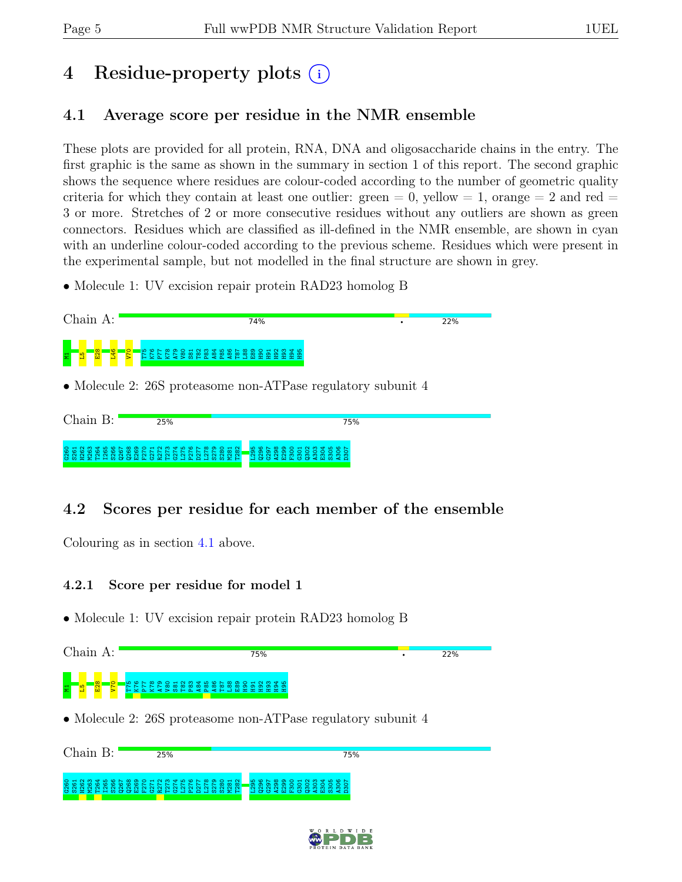# 4 Residue-property plots (i)

# <span id="page-4-0"></span>4.1 Average score per residue in the NMR ensemble

These plots are provided for all protein, RNA, DNA and oligosaccharide chains in the entry. The first graphic is the same as shown in the summary in section 1 of this report. The second graphic shows the sequence where residues are colour-coded according to the number of geometric quality criteria for which they contain at least one outlier: green  $= 0$ , yellow  $= 1$ , orange  $= 2$  and red  $=$ 3 or more. Stretches of 2 or more consecutive residues without any outliers are shown as green connectors. Residues which are classified as ill-defined in the NMR ensemble, are shown in cyan with an underline colour-coded according to the previous scheme. Residues which were present in the experimental sample, but not modelled in the final structure are shown in grey.

• Molecule 1: UV excision repair protein RAD23 homolog B

![](_page_4_Figure_7.jpeg)

## 4.2 Scores per residue for each member of the ensemble

Colouring as in section [4.1](#page-4-0) above.

#### 4.2.1 Score per residue for model 1

• Molecule 1: UV excision repair protein RAD23 homolog B

![](_page_4_Figure_12.jpeg)

#### G260 S261 H262 M263 T264 I265 S266 Q267 Q268 E269 F270 G271 R272 T273 G274 L275 P276 D277 L278 S279 S280 M281 T282 L295 Q296 G297 A298 E299 F300 G301 Q302 A303 E304 S305 A306 D307

![](_page_4_Picture_14.jpeg)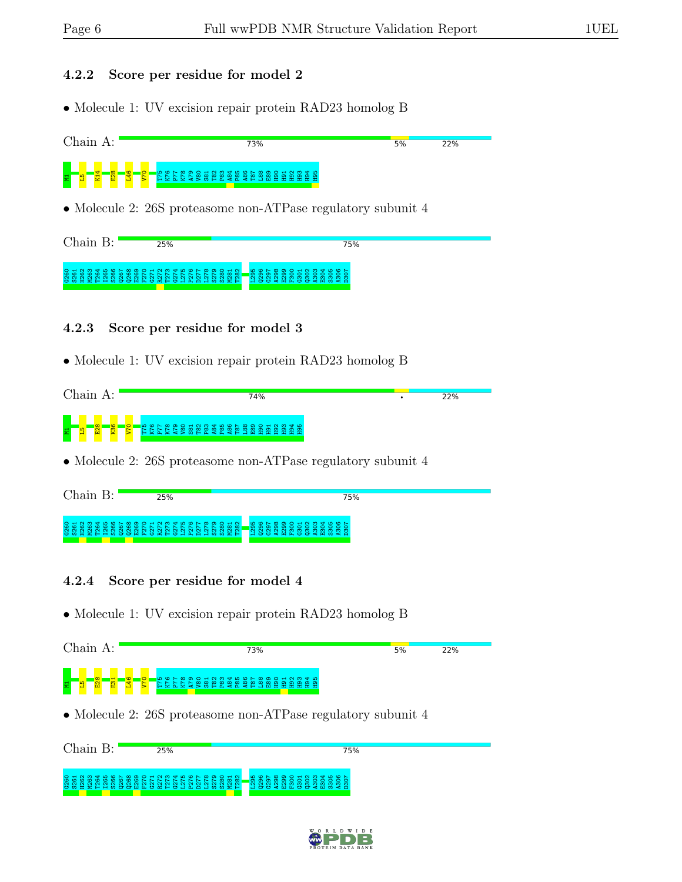#### 4.2.2 Score per residue for model 2

• Molecule 1: UV excision repair protein RAD23 homolog B

![](_page_5_Figure_5.jpeg)

| $Chain B$ : | 25%                                        | 75%                                                                                                                           |
|-------------|--------------------------------------------|-------------------------------------------------------------------------------------------------------------------------------|
|             | <u>NNNNNNN</u><br>CONNERHOOONLONFOIAAIMMEH | <b>LO O N O O H N M &amp; D O N</b><br>$\blacksquare$ თ თ თ თ თ o o o o o o o o o<br><u>NNNMMMMMMM</u><br><b>HOOCHLOOCHMC</b> |

#### 4.2.3 Score per residue for model 3

• Molecule 1: UV excision repair protein RAD23 homolog B

|   | Chain |                    | А:       |         |   |                        |                                       |  |  |  |     |  |  |  |  |  |  |  |  |  |     |  |
|---|-------|--------------------|----------|---------|---|------------------------|---------------------------------------|--|--|--|-----|--|--|--|--|--|--|--|--|--|-----|--|
|   |       |                    |          |         |   |                        |                                       |  |  |  | 74% |  |  |  |  |  |  |  |  |  | 22% |  |
|   |       |                    |          |         |   |                        |                                       |  |  |  |     |  |  |  |  |  |  |  |  |  |     |  |
|   |       |                    | <b>O</b> | $\circ$ | ம | $\circ$ $\sim$ $\circ$ | O O H N M T L O O N 8 O O H N M T L O |  |  |  |     |  |  |  |  |  |  |  |  |  |     |  |
| 불 |       | $\frac{8}{2}$<br>M | g        |         |   |                        |                                       |  |  |  |     |  |  |  |  |  |  |  |  |  |     |  |
|   |       |                    |          |         |   |                        |                                       |  |  |  |     |  |  |  |  |  |  |  |  |  |     |  |

• Molecule 2: 26S proteasome non-ATPase regulatory subunit 4

| Chain B:                                                               |  |  | 25% |  |  |  |  |                                                                     |  |  |  |  |  | 75% |
|------------------------------------------------------------------------|--|--|-----|--|--|--|--|---------------------------------------------------------------------|--|--|--|--|--|-----|
| <b>SERSES ESSES EN EXPLANA ESSES</b><br>COMEZHH OGGHL CAH CHAAH OO OZH |  |  |     |  |  |  |  | <mark>_</mark> ន្តនិន្តនិន្តនិន្តនិន្តនិន្ត<br><b>HOO4HLOO4HM4A</b> |  |  |  |  |  |     |

#### 4.2.4 Score per residue for model 4

• Molecule 1: UV excision repair protein RAD23 homolog B

| Chain A:                                                            |                 | 73%                                                            | 5% | 22% |
|---------------------------------------------------------------------|-----------------|----------------------------------------------------------------|----|-----|
| <mark>ន្ទ្រី</mark><br>- <mark>우</mark><br>" <mark>爵</mark> "<br>:문 | 558888889888888 |                                                                |    |     |
|                                                                     |                 | • Molecule 2: $26S$ proteasome non-ATP as regulatory subunit 4 |    |     |
| Chain B:                                                            | 25%             | 75%                                                            |    |     |

#### G260 S261 H262 M263 T264 I265 S266 Q267 Q268 E269 F270 G271 R272 T273 G274 L275 P276 D277 L278 S279 S280 M281 T282 L295 ទី ៦ ខី ខី ខី ខី ខី ខី<br>កំពុង កូ កូ ខី ខី A303 E304 S305 A306 D307

![](_page_5_Picture_16.jpeg)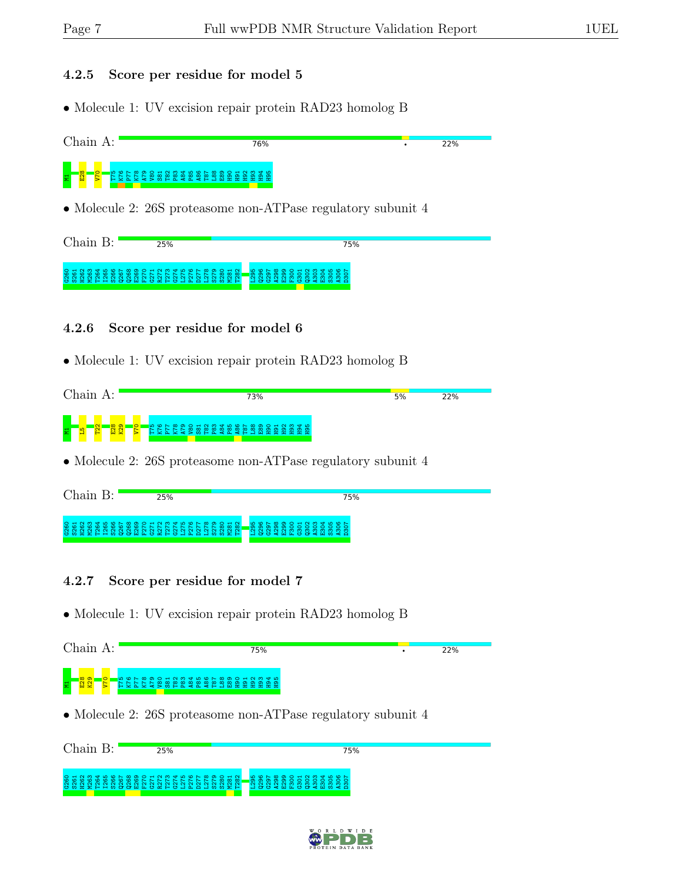#### 4.2.5 Score per residue for model 5

• Molecule 1: UV excision repair protein RAD23 homolog B

![](_page_6_Figure_5.jpeg)

![](_page_6_Figure_6.jpeg)

#### 4.2.6 Score per residue for model 6

• Molecule 1: UV excision repair protein RAD23 homolog B

| Chain                                          | 73%                                                                                                               | 5%<br>22% |  |
|------------------------------------------------|-------------------------------------------------------------------------------------------------------------------|-----------|--|
| K29<br>$\overline{122}$<br><b>O</b><br>ా∞<br>물 | H N M 4 L O N W D O H N M 4 L<br>$\circ$ $\sim$<br>D.<br>$\circ$<br>_ യ<br>ത<br>æ<br>இ<br>m<br>இ<br>စ္က<br>္ဆာ ဇာ |           |  |

• Molecule 2: 26S proteasome non-ATPase regulatory subunit 4

| Chain | 25%                                                                             | 75%                                                                                                      |
|-------|---------------------------------------------------------------------------------|----------------------------------------------------------------------------------------------------------|
|       | 888888888888558885<br><b>ខេដ្</b> ខខណ្ឌនា<br>$\sim$<br>CONHEHHOOOHLCAHCHAAHOOXH | $\begin{array}{l} \hline \texttt{888888552} \texttt{8885} \end{array}$<br>ထိ ထက်<br><b>HOURHHOORHWAD</b> |

#### 4.2.7 Score per residue for model 7

• Molecule 1: UV excision repair protein RAD23 homolog B

| Chain A:                                         | 75%                                                          | 22% |
|--------------------------------------------------|--------------------------------------------------------------|-----|
| $\frac{1}{2}$                                    |                                                              |     |
|                                                  | • Molecule 2: 26S proteasome non-ATPase regulatory subunit 4 |     |
| $Chain B$ :<br>25%                               | 75%                                                          |     |
| 82<br>8<br>-82<br>888<br>ಿದೆ ಹ<br>÷<br>-62<br>πō | ್ದಿ<br>525<br>뷺<br>음을없음일입<br>- 21<br>≅<br>88282<br>ă         |     |

![](_page_6_Picture_15.jpeg)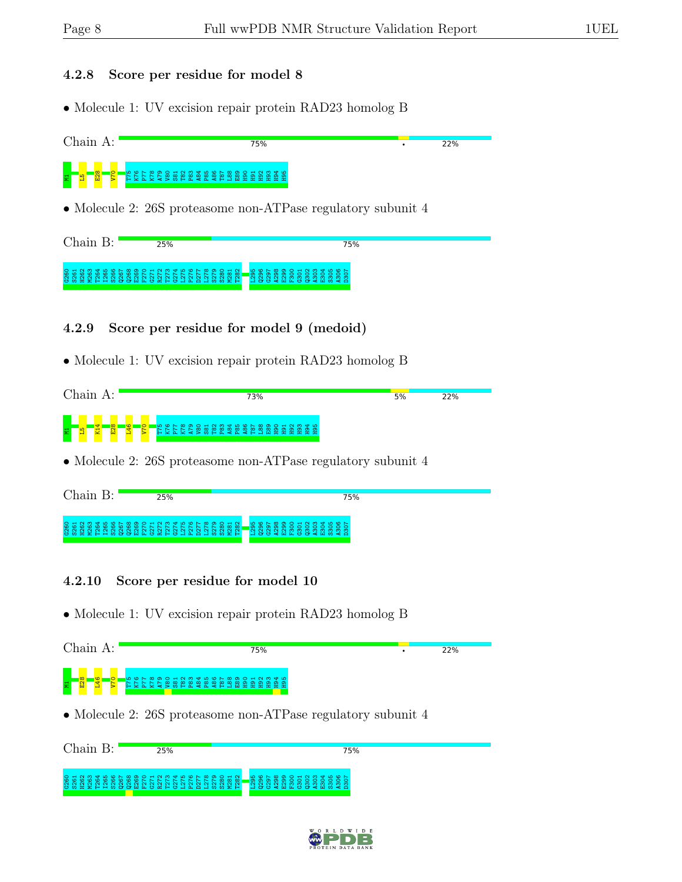#### 4.2.8 Score per residue for model 8

• Molecule 1: UV excision repair protein RAD23 homolog B

![](_page_7_Figure_5.jpeg)

• Molecule 2: 26S proteasome non-ATPase regulatory subunit 4

| Chain B:                                        | 25%                       | 75%                                                              |
|-------------------------------------------------|---------------------------|------------------------------------------------------------------|
| $O$ $H$<br>$\overline{\omega}$ $\omega$<br>ပေးတ | $88339358888777777798838$ | $-$ ននិនិនិនិន្ទីនិនិនិនិន្ទ<br>63 8 8 9 8 6 7 8 9 9 9 8 9 9 9 9 |

![](_page_7_Picture_8.jpeg)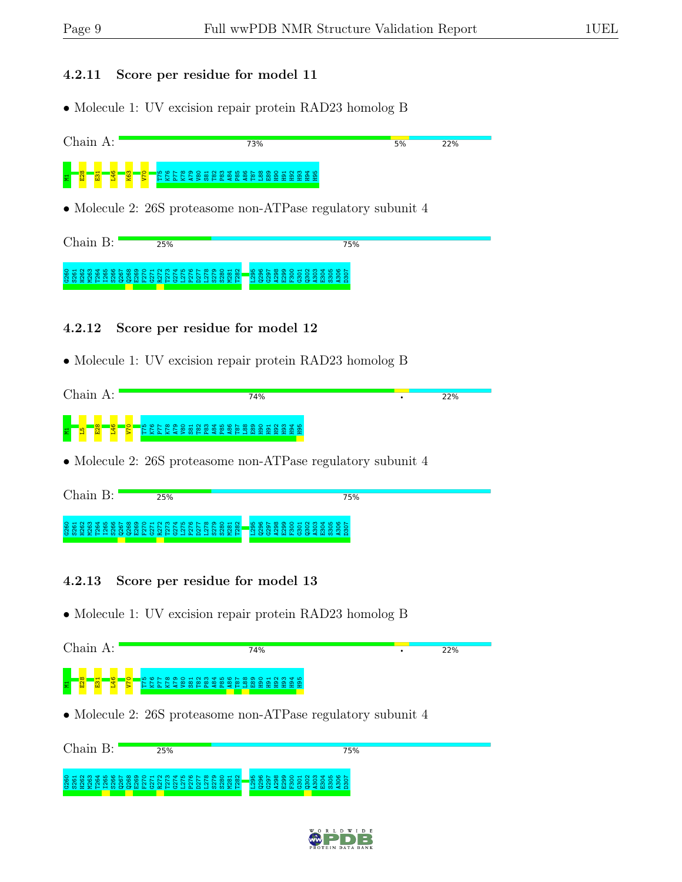#### 4.2.11 Score per residue for model 11

• Molecule 1: UV excision repair protein RAD23 homolog B

![](_page_8_Figure_5.jpeg)

#### 0 6 5 6 6 7 6 7 6 7 6<br>0 6 6 6 7 6 7 6 7<br>0 7 7 7 8 7 8 7 7 8 Q267 Q268 E269 F270 G271 R27<br>C275<br>C276<br>D2778<br>S2780<br>N281<br>N281 T282 L295 Q296 G297 A298 E299 F300 G301 Q302 A303 E304 S305 A306 D307

#### 4.2.12 Score per residue for model 12

• Molecule 1: UV excision repair protein RAD23 homolog B

| 22% |   |                                                | 74% |  |  |  |  |  |         | А:       |     | Chain |   |
|-----|---|------------------------------------------------|-----|--|--|--|--|--|---------|----------|-----|-------|---|
|     | ٠ |                                                |     |  |  |  |  |  |         |          |     |       |   |
|     |   |                                                |     |  |  |  |  |  |         |          |     |       |   |
|     |   | po c r co o o a q m q p c r co o o a q m q p c |     |  |  |  |  |  | $\circ$ | <b>O</b> |     |       |   |
|     |   |                                                |     |  |  |  |  |  |         |          |     |       |   |
|     |   |                                                |     |  |  |  |  |  |         |          | E28 |       | 불 |

• Molecule 2: 26S proteasome non-ATPase regulatory subunit 4

| Chain<br>$\mathbf{R} \cdot$ | 25%                                                                                                                                   | 75%                                                                                                                   |
|-----------------------------|---------------------------------------------------------------------------------------------------------------------------------------|-----------------------------------------------------------------------------------------------------------------------|
|                             | <b>8888888888885555568886555556</b><br>878<br>$-1$ $\alpha$ $\alpha$ $-1$<br>ഄ<br>$\sim$<br>$\sim$<br>പ<br>COMMERTHOGGHLCKHOLAAOHOOXH | $\circ$ $\circ$ $\circ$ $\circ$ $\circ$<br>-8858885883585<br>$F F \otimes \infty$<br>- 79<br><br><b>HOO4HLOO4HW4A</b> |

### 4.2.13 Score per residue for model 13

G260 S261 H262 M263 T264 I265 S266 Q267 Q268 E269 F270 G271 R272 T273 G274 L275 P276 D277 L278 S279 S280 M281 T282 L295 Q296 G297 A298 E299 F300 G301 Q302 A303 E304

• Molecule 1: UV excision repair protein RAD23 homolog B

| Chain A: |                                                                | 74% |     | 22% |
|----------|----------------------------------------------------------------|-----|-----|-----|
| 불        | <b>EXA EXA BOOT SOLUTION</b>                                   |     |     |     |
|          | • Molecule 2: $26S$ proteasome non-ATP as regulatory subunit 4 |     |     |     |
| Chain B: | 25%                                                            |     | 75% |     |

![](_page_8_Picture_15.jpeg)

S305 A306 D307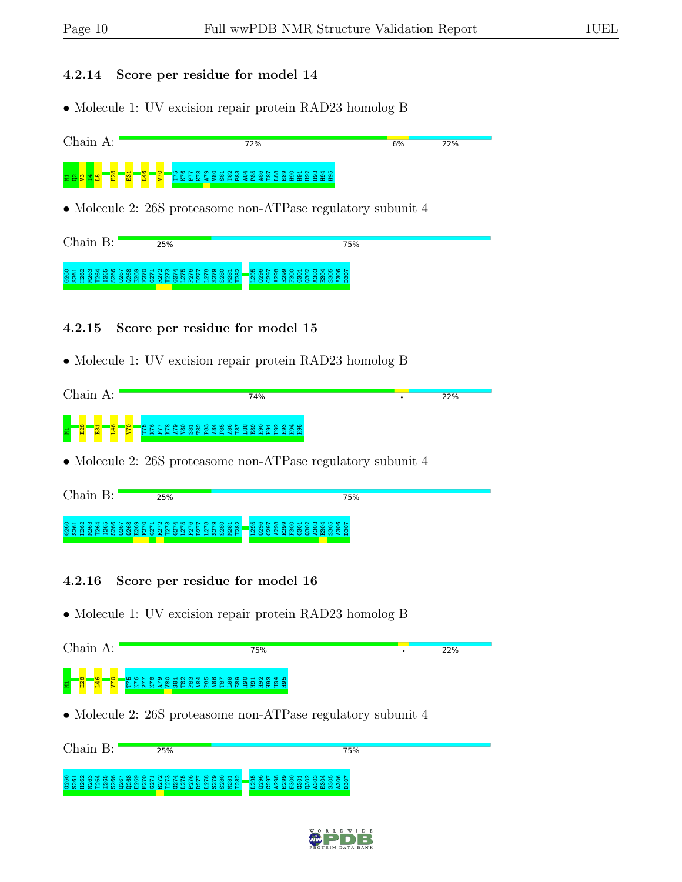#### 4.2.14 Score per residue for model 14

• Molecule 1: UV excision repair protein RAD23 homolog B

![](_page_9_Figure_5.jpeg)

| Chain B:                        | 25%                                                                                                                     | 75%                                                                                                                              |  |  |  |  |  |  |  |  |  |  |
|---------------------------------|-------------------------------------------------------------------------------------------------------------------------|----------------------------------------------------------------------------------------------------------------------------------|--|--|--|--|--|--|--|--|--|--|
| $N$ $N$<br>$\sim$ $\sim$ $\sim$ | O H N M T L O L O D O H N M T L O L O D O H N<br><b>NNNNNNNNN</b><br>$\sim$<br>$\sim$<br><b>GOLFEHOGGHLGRHGJAAJOOEH</b> | <b>BOL8900HNM4BOL</b><br>$\blacksquare$ თ თ თ თ თ o o o o o o o o<br>. N M M M M M M M<br>$\sim$ $\sim$<br><b>HOUGHLUDGEHMED</b> |  |  |  |  |  |  |  |  |  |  |

#### 4.2.15 Score per residue for model 15

• Molecule 1: UV excision repair protein RAD23 homolog B

|   | Chain |   | А:            |         |    |                        |  |  |  |  |  | 74% |  |  |  |
|---|-------|---|---------------|---------|----|------------------------|--|--|--|--|--|-----|--|--|--|
|   |       |   |               |         |    |                        |  |  |  |  |  |     |  |  |  |
| 물 |       | 모 | $\frac{1}{2}$ | $\circ$ | 'ယ | $\circ$ $\sim$ $\circ$ |  |  |  |  |  |     |  |  |  |

• Molecule 2: 26S proteasome non-ATPase regulatory subunit 4

| Chain | 25%                                                                                 | 75%                                                                                                                                                                             |
|-------|-------------------------------------------------------------------------------------|---------------------------------------------------------------------------------------------------------------------------------------------------------------------------------|
|       | 888888888888555555<br>$\circ$ $\sim$<br>ယ<br>$\sim$<br>CONNEL HOODNACAHO HAAA DOORE | $00 - 0$<br>8.858<br>$-100 -$<br><b>NM</b><br>8851<br>ထထ<br>ື້<br>lo öl<br>O.<br>$\tilde{\sim}$<br>್<br>ത<br>ო ო<br><u>ന ന</u><br>ത<br>ത<br>$\sim$<br>പ<br><b>HOURHLUDRHMAN</b> |

#### 4.2.16 Score per residue for model 16

G260 S261 H262 M263 T264 I265 S266 Q267 Q268 E269 F270 G271 R272 T273 G274 L275 P276 D277 L278 S279 S280 M281 T282 L295 Q296 G297 A298 E299 F300 G301 Q302 A303 E304 S305 A306 D307

• Molecule 1: UV excision repair protein RAD23 homolog B

| $Chain A$ :<br>75%                                                                                                                      | 22% |
|-----------------------------------------------------------------------------------------------------------------------------------------|-----|
| $\overline{v}$<br><b>EXEXES SERVER ER ER ER ER ER ET ELLE ET ELLE ET ELLE ET ELLE ET ELLE ET ELLE ET ELLE ET ELLE ET ELLE ET ELLE E</b> |     |
| • Molecule 2: $26S$ proteasome non-ATP as regulatory subunit 4                                                                          |     |
| Chain B:<br>75%<br>25%                                                                                                                  |     |

![](_page_9_Picture_15.jpeg)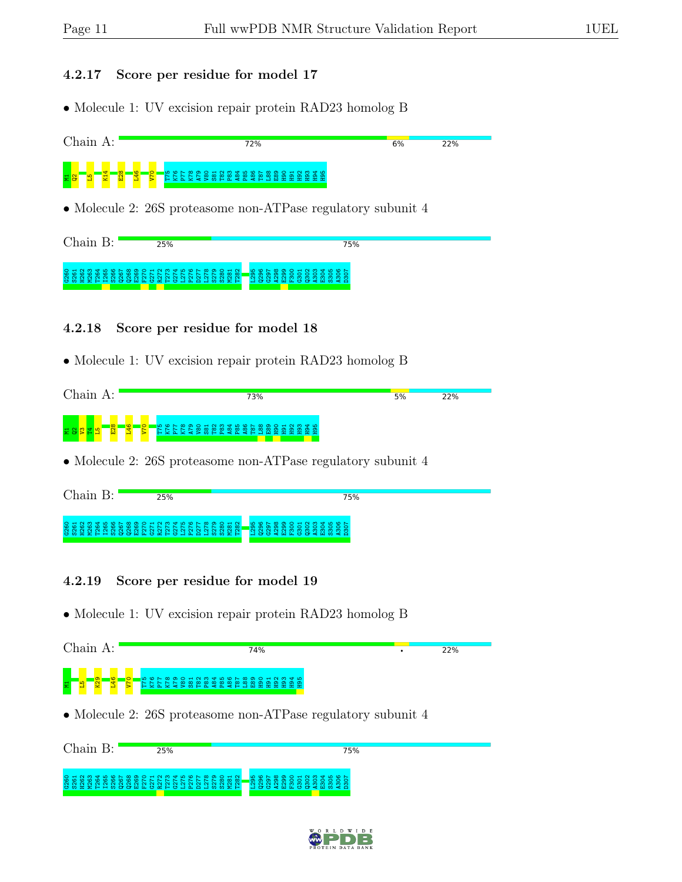#### 4.2.17 Score per residue for model 17

• Molecule 1: UV excision repair protein RAD23 homolog B

![](_page_10_Figure_5.jpeg)

• Molecule 2: 26S proteasome non-ATPase regulatory subunit 4

| lhain. | 25%                                                                                                                                                                                        | 75%                                                                                                                         |
|--------|--------------------------------------------------------------------------------------------------------------------------------------------------------------------------------------------|-----------------------------------------------------------------------------------------------------------------------------|
|        | O H N M T L M O L M D O H N M T L M O L M D O H N I<br>$\mathbb{R} \times \mathbb{R} \times \mathbb{R} \times \mathbb{R} \times \mathbb{R} \times \mathbb{R}$<br>CONHELHOGGHLCKHO-HAAHOOXH | <b>LO C L C C C C C C C C C C C C C C</b><br>തെ<br>$\circ$ $\circ$<br>ന<br>ത ത ത ത<br>ന<br>ന<br>. ന<br><b>HOO4HLOG4HW4A</b> |

#### 4.2.18 Score per residue for model 18

• Molecule 1: UV excision repair protein RAD23 homolog B

| Chain<br>А:        | 73%                                                                                        | 5% | 22% |
|--------------------|--------------------------------------------------------------------------------------------|----|-----|
| $\circ$<br>$\circ$ | <b>U C L C C C C A N C L C C C C C C C C C C C C C</b><br>ထ္<br>R<br>⁄ യു<br>ာ<br>_ത<br>n. |    |     |

• Molecule 2: 26S proteasome non-ATPase regulatory subunit 4

| Chain<br>$\mathbf{R} \cdot$ | 25%                                                                                                                                                                 | 75%                                                                           |
|-----------------------------|---------------------------------------------------------------------------------------------------------------------------------------------------------------------|-------------------------------------------------------------------------------|
|                             | 8888888888885555555<br>$\circ$ $\circ$ $\circ$ $\circ$ $\circ$ $\circ$ $\circ$<br>R222<br>ထထ<br>N<br>$\sim$<br>പ<br>G M H H H H M G G H H G H H G H M H G H M M H H | <mark>ី</mark> ឌី ឌី ឌី ឌី ឌី ឌី ឌី ឌី ឌី ឌី ឌី ឌី ឌី<br><b>HOUGHLOOGHMGA</b> |

#### 4.2.19 Score per residue for model 19

G260 S261 H262 M263 T264 I265 S266 Q267 Q268 E269 F270 G271 R272 T273 G274 L275 P276 D277 L278 S279 S280 M281 T282 L295 Q296 G297 A298 E299 F300 G301 Q302 A303 E304 S305 A306

• Molecule 1: UV excision repair protein RAD23 homolog B

| $Chain A$ :                  |     | 74%                                                            |     | 22% |
|------------------------------|-----|----------------------------------------------------------------|-----|-----|
| <b>RZ3</b><br>$\frac{1}{46}$ |     |                                                                |     |     |
|                              |     | • Molecule 2: $26S$ proteasome non-ATP as regulatory subunit 4 |     |     |
| $Chain B$ :                  | 25% |                                                                | 75% |     |

![](_page_10_Picture_16.jpeg)

D307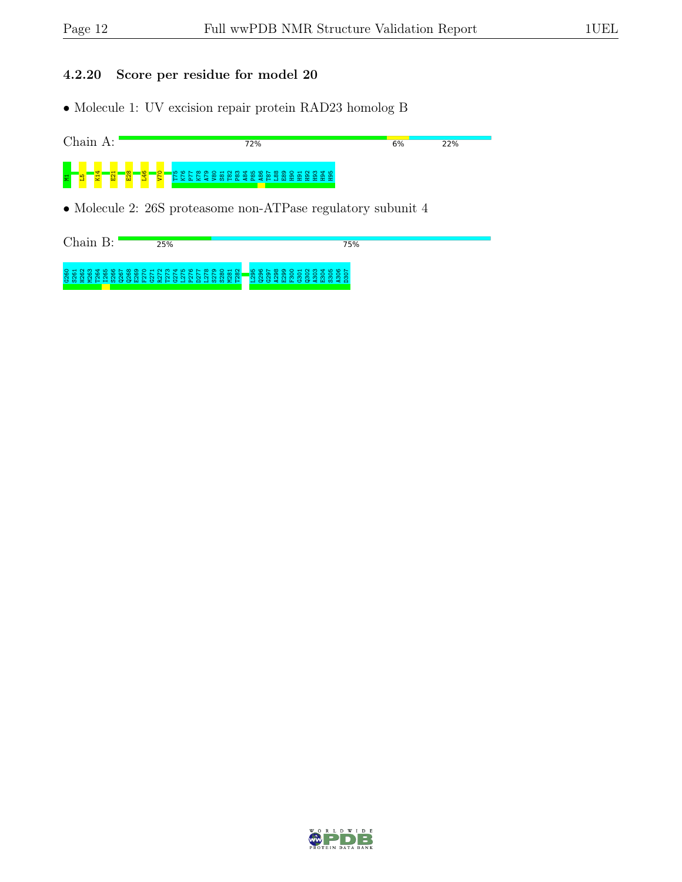#### 4.2.20 Score per residue for model 20

• Molecule 1: UV excision repair protein RAD23 homolog B

![](_page_11_Figure_5.jpeg)

• Molecule 2: 26S proteasome non-ATPase regulatory subunit 4

| Chain | 25%                                                                                                                                          | 75%                                                                                                                                                            |
|-------|----------------------------------------------------------------------------------------------------------------------------------------------|----------------------------------------------------------------------------------------------------------------------------------------------------------------|
|       | O T N 0 T 4 4 6 6 6 6 0 6 6 7 8 7 8 7 8 6 6 6 7 8 9 6 7 8 9 6 7 8 9 7 8 9 7 8 9 7 8 9 7 8 9 7 8 9 7 8 9 7 8 9<br>CONTERNOGRATION CONTRATIONS | <b>LO O N O O H N M &amp; D O N</b><br>$\blacksquare$<br>$\circ$ $\circ$ $\circ$<br>$\tilde{\mathbf{N}}$<br><b>NN</b><br>ನ ನನ<br>ന ന ന<br><b>HOUGHLOOGHMGA</b> |

![](_page_11_Picture_8.jpeg)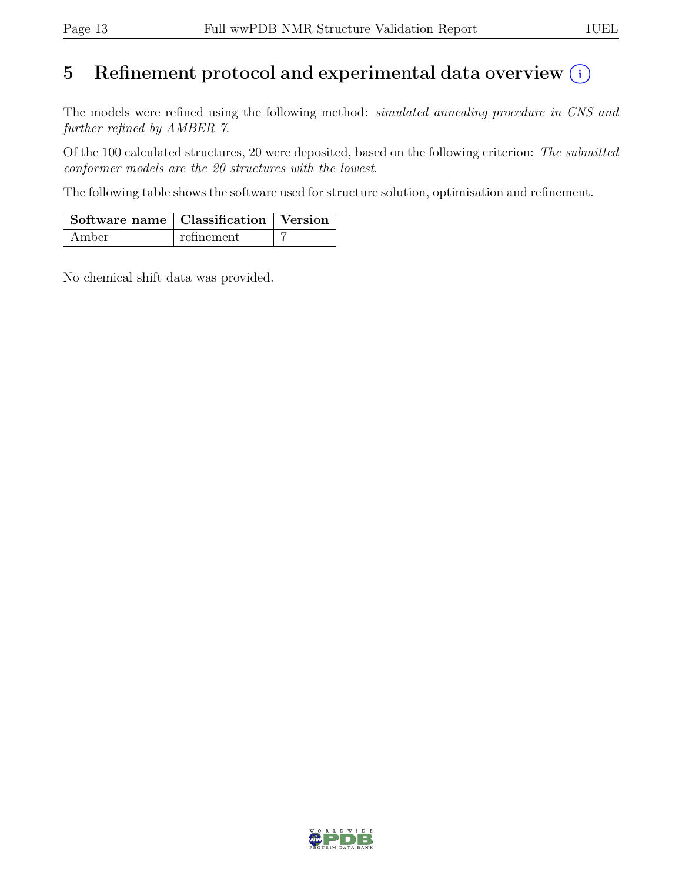# 5 Refinement protocol and experimental data overview  $\odot$

The models were refined using the following method: *simulated annealing procedure in CNS and* further refined by AMBER 7.

Of the 100 calculated structures, 20 were deposited, based on the following criterion: The submitted conformer models are the 20 structures with the lowest.

The following table shows the software used for structure solution, optimisation and refinement.

| Software name   Classification   Version |            |  |
|------------------------------------------|------------|--|
| Amber                                    | refinement |  |

No chemical shift data was provided.

![](_page_12_Picture_9.jpeg)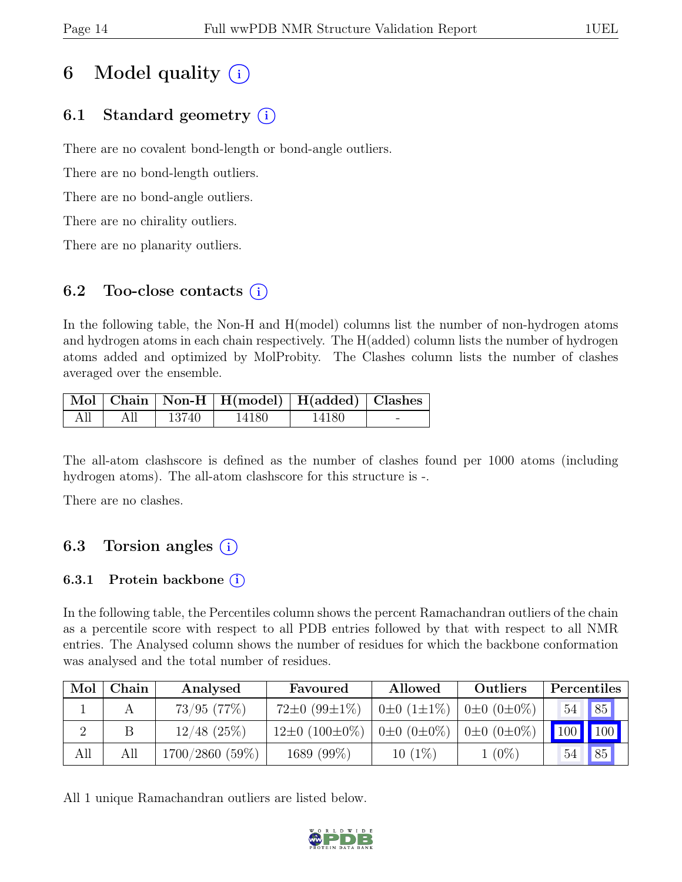# 6 Model quality  $(i)$

# 6.1 Standard geometry (i)

There are no covalent bond-length or bond-angle outliers.

There are no bond-length outliers.

There are no bond-angle outliers.

There are no chirality outliers.

There are no planarity outliers.

## 6.2 Too-close contacts  $(i)$

In the following table, the Non-H and H(model) columns list the number of non-hydrogen atoms and hydrogen atoms in each chain respectively. The H(added) column lists the number of hydrogen atoms added and optimized by MolProbity. The Clashes column lists the number of clashes averaged over the ensemble.

|  |       | Mol   Chain   Non-H   H(model)   H(added)   Clashes |       |  |
|--|-------|-----------------------------------------------------|-------|--|
|  | 13740 | 14180                                               | 14180 |  |

The all-atom clashscore is defined as the number of clashes found per 1000 atoms (including hydrogen atoms). The all-atom clashscore for this structure is -.

There are no clashes.

# 6.3 Torsion angles  $(i)$

### 6.3.1 Protein backbone  $(i)$

In the following table, the Percentiles column shows the percent Ramachandran outliers of the chain as a percentile score with respect to all PDB entries followed by that with respect to all NMR entries. The Analysed column shows the number of residues for which the backbone conformation was analysed and the total number of residues.

| Mol | ${\rm Chain}$ | Analysed        | Allowed<br>Favoured      |                        | Outliers                | Percentiles |               |
|-----|---------------|-----------------|--------------------------|------------------------|-------------------------|-------------|---------------|
|     |               | $73/95$ $(77%)$ | $72\pm0.99\pm1\%$        | $0\pm 0$ (1 $\pm$ 1\%) | $0 \pm 0$ $(0 \pm 0\%)$ | 54          | $\sqrt{85}$   |
|     |               | $12/48$ (25%)   | $12\pm0$ (100 $\pm0\%$ ) | $0\pm 0$ $(0\pm 0\%)$  | $0±0$ $(0±0\%)$         |             | $100$   $100$ |
| All | All           | 1700/2860 (59%) | 1689 (99%)               | $10(1\%)$              | $1(0\%)$                | 54          | 85            |

All 1 unique Ramachandran outliers are listed below.

![](_page_13_Picture_20.jpeg)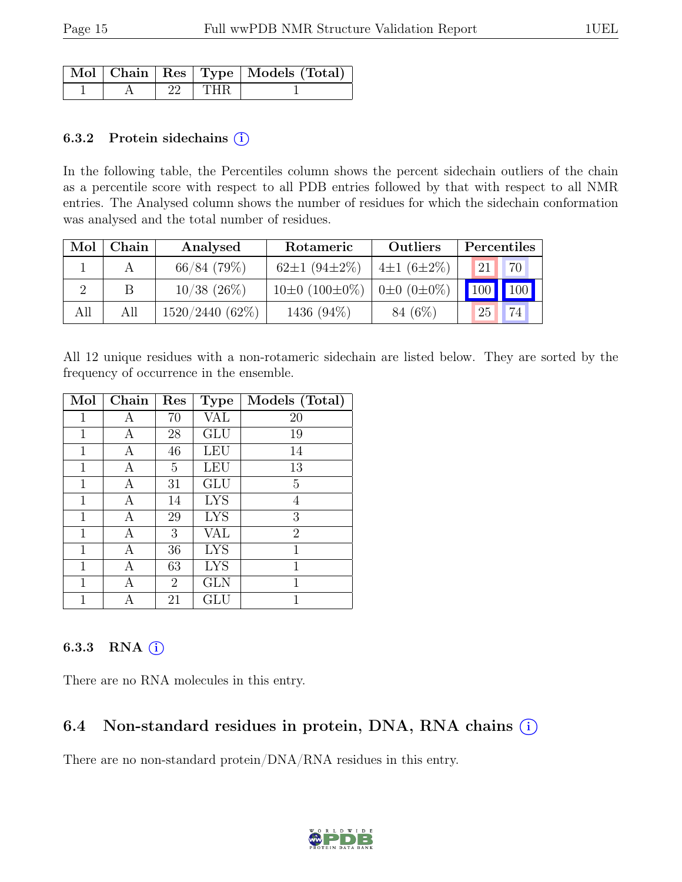|  |       | Mol   Chain   Res   Type   Models (Total) |
|--|-------|-------------------------------------------|
|  | I THR |                                           |

#### 6.3.2 Protein side chains  $(i)$

In the following table, the Percentiles column shows the percent sidechain outliers of the chain as a percentile score with respect to all PDB entries followed by that with respect to all NMR entries. The Analysed column shows the number of residues for which the sidechain conformation was analysed and the total number of residues.

| Mol | Chain | Analysed          | Rotameric                | <b>Outliers</b>         | Percentiles       |    |
|-----|-------|-------------------|--------------------------|-------------------------|-------------------|----|
|     |       | $66/84$ (79%)     | 62 $\pm$ 1 (94 $\pm$ 2%) | $4\pm1(6\pm2\%)$        | $\mathbf{1}_{21}$ | 70 |
|     |       | $10/38$ (26%)     | $10\pm0$ (100 $\pm0\%$ ) | $0 \pm 0$ $(0 \pm 0\%)$ | 100 100           |    |
| All | All   | $1520/2440(62\%)$ | 1436 (94%)               | 84 (6\%)                | 25                | 74 |

All 12 unique residues with a non-rotameric sidechain are listed below. They are sorted by the frequency of occurrence in the ensemble.

| Mol          | Chain | Res            | <b>Type</b> | Models (Total) |
|--------------|-------|----------------|-------------|----------------|
| 1            | А     | 70             | VAL         | 20             |
| 1            | А     | 28             | <b>GLU</b>  | 19             |
| 1            | А     | 46             | LEU         | 14             |
| 1            | Α     | 5              | LEU         | 13             |
| $\mathbf{1}$ | Α     | 31             | GLU         | 5              |
| $\mathbf{1}$ | Α     | 14             | <b>LYS</b>  | 4              |
| 1            | А     | 29             | <b>LYS</b>  | 3              |
| 1            | А     | 3              | VAL         | $\overline{2}$ |
| 1            | Α     | 36             | <b>LYS</b>  | $\mathbf{1}$   |
| $\mathbf{1}$ | А     | 63             | <b>LYS</b>  | 1              |
| 1            | А     | $\overline{2}$ | <b>GLN</b>  | 1              |
| 1            | А     | 21             | GLU         | 1              |

### 6.3.3 RNA (i)

There are no RNA molecules in this entry.

## 6.4 Non-standard residues in protein, DNA, RNA chains (i)

There are no non-standard protein/DNA/RNA residues in this entry.

![](_page_14_Picture_13.jpeg)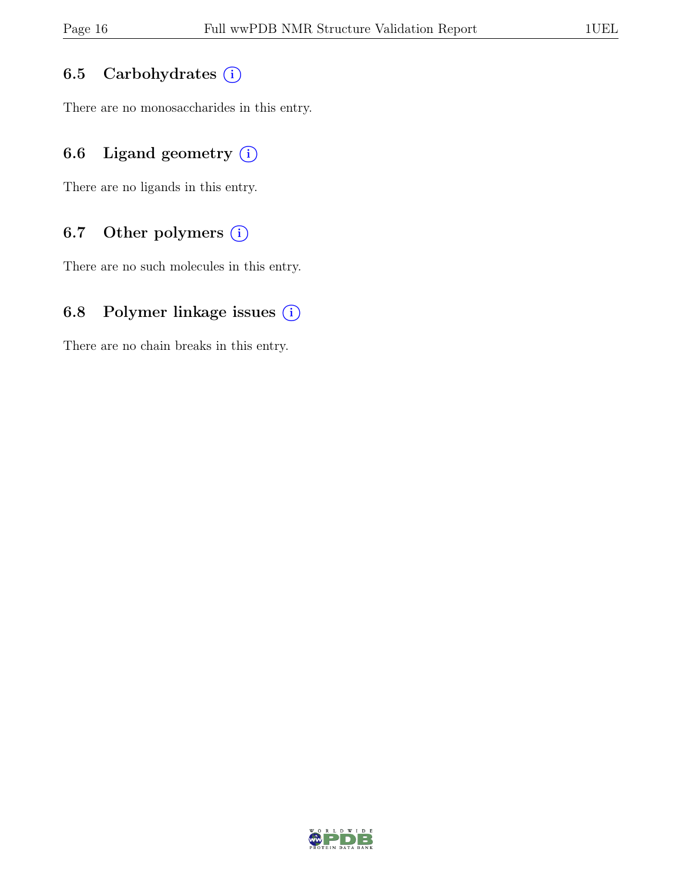### 6.5 Carbohydrates (i)

There are no monosaccharides in this entry.

## 6.6 Ligand geometry  $(i)$

There are no ligands in this entry.

### 6.7 Other polymers (i)

There are no such molecules in this entry.

### 6.8 Polymer linkage issues  $(i)$

There are no chain breaks in this entry.

![](_page_15_Picture_11.jpeg)